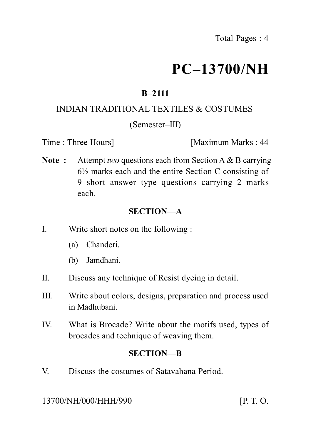# **PC–13700/NH**

## **B–2111**

### INDIAN TRADITIONAL TEXTILES & COSTUMES

### (Semester–III)

Time : Three Hours **I** [Maximum Marks : 44]

**Note :** Attempt *two* questions each from Section A & B carrying 6½ marks each and the entire Section C consisting of 9 short answer type questions carrying 2 marks each.

## **SECTION—A**

- I. Write short notes on the following :
	- (a) Chanderi.
	- (b) Jamdhani.
- II. Discuss any technique of Resist dyeing in detail.
- III. Write about colors, designs, preparation and process used in Madhubani.
- IV. What is Brocade? Write about the motifs used, types of brocades and technique of weaving them.

### **SECTION—B**

V. Discuss the costumes of Satavahana Period.

13700/NH/000/HHH/990 [P. T. O.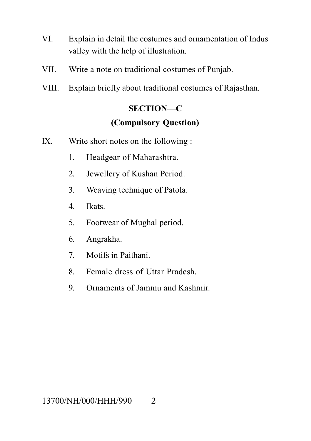- VI. Explain in detail the costumes and ornamentation of Indus valley with the help of illustration.
- VII. Write a note on traditional costumes of Punjab.
- VIII. Explain briefly about traditional costumes of Rajasthan.

### **SECTION—C**

### **(Compulsory Question)**

- IX. Write short notes on the following :
	- 1. Headgear of Maharashtra.
	- 2. Jewellery of Kushan Period.
	- 3. Weaving technique of Patola.
	- 4. Ikats.
	- 5. Footwear of Mughal period.
	- 6. Angrakha.
	- 7. Motifs in Paithani.
	- 8. Female dress of Uttar Pradesh.
	- 9. Ornaments of Jammu and Kashmir.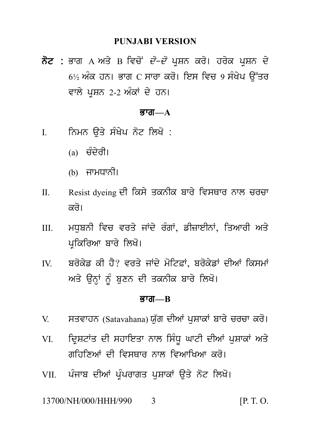#### **PUNJABI VERSION**

PUNJABI VERSION<br>ਨੋਟ : ਭਾਗ A ਅਤੇ B ਵਿਚੋਂ *ਦੋ–ਦੋ* ਪ੍ਰਸ਼ਨ ਕਰੋ। ਹਰੇਕ ਪ੍ਰਸ਼ਨ ਦੇ<br>6½ ਅੰਕ ਹਨ। ਭਾਗ C ਸਾਰਾ ਕਰੋ। ਇਸ ਵਿਚ 9 ਸੰਖੇਪ ਉੱਤਰ<br>ਵਾਲੇ ਮਾਸਨ 2-2 ਅੰਕਾਂ ਦੇ ਹਨ। PUNJABI VERSION<br>ਭਾਗ A ਅਤੇ B ਵਿਚੋਂ *ਦੋ–ਦੋ* ਪ੍ਰਸ਼ਨ ਕਰੋ। ਹਰੇਕ ਪ੍ਰਸ਼ਨ ਦੇ<br>6½ ਅੰਕ ਹਨ। ਭਾਗ C ਸਾਰਾ ਕਰੋ। ਇਸ ਵਿਚ 9 ਸੰਖੇਪ ਉੱਤਰ<br>ਵਾਲੇ ਪ੍ਰਸ਼ਨ 2-2 ਅੰਕਾਂ ਦੇ ਹਨ। **ਨੋਟ :** ਭਾਗ A ਅਤੇ B ਵਿਚੋਂ *ਦੋ–ਦੋ* ਪ੍ਰਸ਼ਨ ਕਰੋ। ਹਰੇਕ ਪ੍ਰਸ਼ਨ ਦੇ<br>6½ ਅੰਕ ਹਨ। ਭਾਗ C ਸਾਰਾ ਕਰੋ। ਇਸ ਵਿਚ 9 ਸੰਖੇਪ ਉੱਤਰ<br>ਵਾਲੇ ਪਸ਼ਨ 2-2 ਅੰਕਾਂ ਦੇ ਹਨ। ਵਾਲੇ ਪ੍ਰਸ਼ਨ 2-2 ਅੰਕਾਂ ਦੇ ਹਨ।<br>**ਭਾਗ—A**<br>I. ਨਿਮਨ ਉਤੇ ਸੰਖੇਪ ਨੋਟ ਲਿਖੋ :<br><sub>(a)</sub> ਚੰਦੇਰੀ।

#### <u>ਭਾਗ— $A$ </u>

- ਨਿਮਨ ਉਤੇ ਸੰਖੇਪ ਨੋਟ ਲਿਖੋ :<br><sub>(a)</sub> ਚੰਦੇਰੀ।
	-
	- (b) ਜਾਮਧਾਨੀ।
- (a) ਚੰਦੇਰੀ।<br>(b) ਜਾਮਧਾਨੀ।<br>II. Resist dyeing ਦੀ ਕਿਸੇ ਤਕਨੀਕ ਬਾਰੇ ਵਿਸਥਾਰ ਨਾਲ ਚਰਚਾ<br>ਕਰੋ। ਕਰੋ।
- II. Resist dyeing ਦੀ ਕਿਸੇ ਤਕਨੀਕ ਬਾਰੇ ਵਿਸਥਾਰ ਨਾਲ ਚਰਚਾ<br>ਕਰੋ।<br>III. ਮਧੁਬਨੀ ਵਿਚ ਵਰਤੇ ਜਾਂਦੇ ਰੰਗਾਂ, ਡੀਜ਼ਾਈਨਾਂ, ਤਿਆਰੀ ਅਤੇ<br>ਪ੍ਰਕਿਰਿਆ ਬਾਰੇ ਲਿਖੋ। ਕਰੋ।<br>ਮਧੁਬਨੀ ਵਿਚ ਵਰਤੇ ਜਾਂਦੇ ਰੰਗਾਂ, ਡੀਜ਼ਾਈਨਾਂ,<br>ਪ੍ਰਕਿਰਿਆ ਬਾਰੇ ਲਿਖੋ।<br>ਬਰੋਕੇਡ ਕੀ ਹੈ? ਵਰਤੇ ਜਾਂਦੇ ਮੋਟਿਫ਼ਾਂ, ਬਰੋਕੇਡਾਂ<br>ਕਾਂਕੇ ਕੀ ਹੈ? ਵਰਤੇ ਜਾਂਦੇ ਮੋਟਿਫ਼ਾਂ, ਬਰੋਕੇਡਾਂ
- III. ਮਧੁਬਨੀ ਵਿਚ ਵਰਤੇ ਜਾਂਦੇ ਰੰਗਾਂ, ਡੀਜ਼ਾਈਨਾਂ, ਤਿਆਰੀ ਅਤੇ<br>ਪ੍ਰਕਿਰਿਆ ਬਾਰੇ ਲਿਖੋ।<br>IV. ਬਰੋਕੇਡ ਕੀ ਹੈ? ਵਰਤੇ ਜਾਂਦੇ ਮੋਟਿਫ਼ਾਂ, ਬਰੋਕੇਡਾਂ ਦੀਆਂ ਕਿਸਮਾਂ<br>ਅਤੇ ਉਨ੍ਹਾਂ ਨੂੰ ਬੁਣਨ ਦੀ ਤਕਨੀਕ ਬਾਰੇ ਲਿਖੋ। ੁੱ<br>ਪ੍ਰਕਿਰਿਆ ਬਾਰੇ ਲਿਖੋ।<br>ਬਰੋਕੇਡ ਕੀ ਹੈ? ਵਰਤੇ ਜਾਂਦੇ ਮੋਟਿਫ਼ਾਂ, ਬਰੋਕੇਡਾਂ ਦੀਆਂ ਕਿਸਮਾਂ<br>ਅਤੇ ਉਨ੍ਹਾਂ ਨੂੰ ਬੁਣਨ ਦੀ ਤਕਨੀਕ ਬਾਰੇ ਲਿਖੋ।<br>**ਭਾਗ—B**

#### Bwg**—B**

- 
- ਅਤੇ ਉਨ੍ਹਾਂ ਨੂੰ ਬੁਣਨ ਦੀ ਤਕਨੀਕ ਬਾਰੇ ਲਿਖੋ।<br>ਭਾਗ—B<br>V. ਸਤਵਾਹਨ (Satavahana) ਯੁੱਗ ਦੀਆਂ ਪੁਸ਼ਾਕਾਂ ਬਾਰੇ ਚਰਚਾ ਕਰੋ।<br>VI. ਦ੍ਰਿਸ਼ਟਾਂਤ ਦੀ ਸਹਾਇਤਾ ਨਾਲ ਸਿੰਧੂ ਘਾਟੀ ਦੀਆਂ ਪੁਸ਼ਾਕਾਂ ਅਤੇ ਭਾਗ—B<br>V. ਸਤਵਾਹਨ (Satavahana) ਯੁੱਗ ਦੀਆਂ ਪੁਸ਼ਾਕਾਂ ਬਾਰੇ ਚਰਚਾ ਕਰੋ।<br>VI. ਦ੍ਰਿਸ਼ਟਾਂਤ ਦੀ ਸਹਾਇਤਾ ਨਾਲ ਸਿੰਧੂ ਘਾਟੀ ਦੀਆਂ ਪੁਸ਼ਾਕਾਂ ਅਤੇ<br>ਗਹਿਣਿਆਂ ਦੀ ਵਿਸਥਾਰ ਨਾਲ ਵਿਆਖਿਆ ਕਰੋ। V. ਸਤਵਾਹਨ (Satavahana) ਯੁੱਗ ਦੀਆਂ ਪੁਸ਼ਾਕਾਂ ਬਾਰੇ ਚਰਚਾ ਕਰੋ।<br>VI. ਦ੍ਰਿਸ਼ਟਾਂਤ ਦੀ ਸਹਾਇਤਾ ਨਾਲ ਸਿੰਧੂ ਘਾਟੀ ਦੀਆਂ ਪੁਸ਼ਾਕਾਂ ਅਤੇ<br>ਗਹਿਣਿਆਂ ਦੀ ਵਿਸਥਾਰ ਨਾਲ ਵਿਆਖਿਆ ਕਰੋ।<br>VII. ਪੰਜਾਬ ਦੀਆਂ ਪੰਪਰਾਗਤ ਪਸ਼ਾਕਾਂ ੳਤੇ ਨੋਟ ਲਿਖੋ। VII. p Mjwb dIAW p R Mprwgq p uSwkW a uq y n ot ilK o[
- 

13700/NH/000/HHH/990 3 [P. T. O.